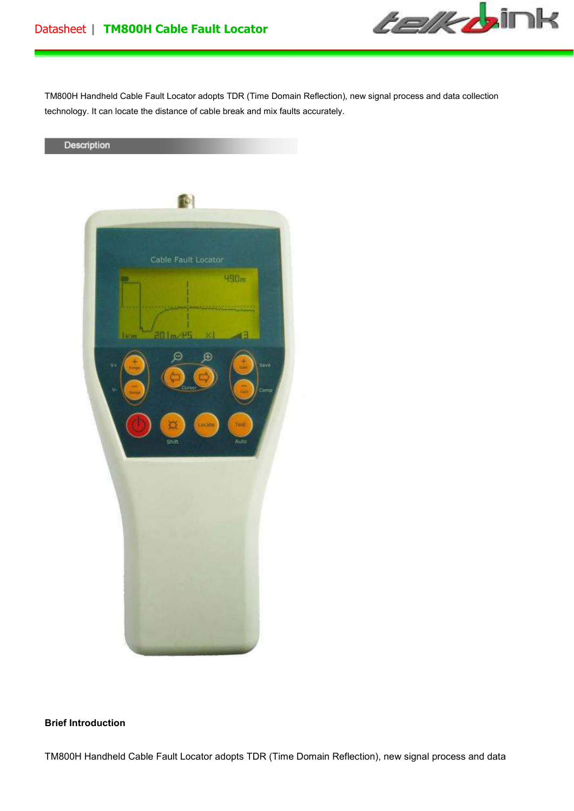

TM800H Handheld Cable Fault Locator adopts TDR (Time Domain Reflection), new signal process and data collection technology. It can locate the distance of cable break and mix faults accurately.



## **Brief Introduction**

TM800H Handheld Cable Fault Locator adopts TDR (Time Domain Reflection), new signal process and data